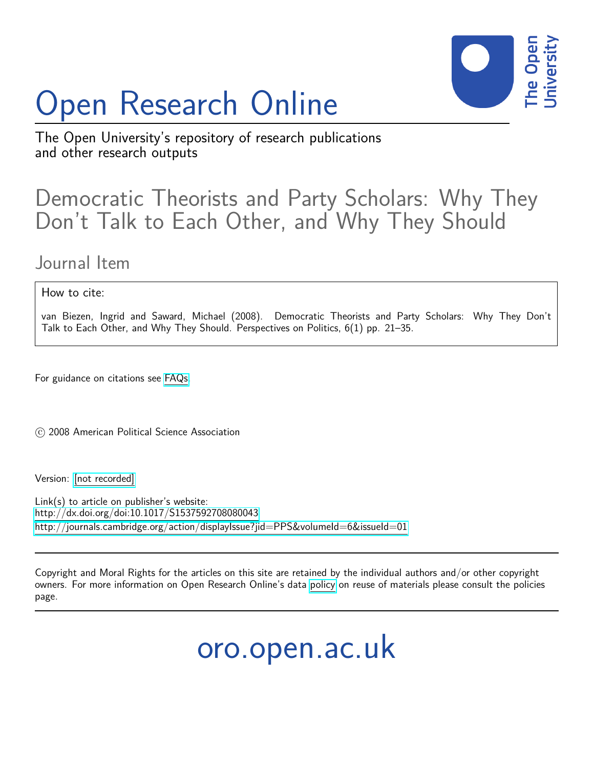# Open Research Online



The Open University's repository of research publications and other research outputs

# Democratic Theorists and Party Scholars: Why They Don't Talk to Each Other, and Why They Should

Journal Item

How to cite:

van Biezen, Ingrid and Saward, Michael (2008). Democratic Theorists and Party Scholars: Why They Don't Talk to Each Other, and Why They Should. Perspectives on Politics, 6(1) pp. 21–35.

For guidance on citations see [FAQs.](http://oro.open.ac.uk/help/helpfaq.html)

c 2008 American Political Science Association

Version: [\[not recorded\]](http://oro.open.ac.uk/help/helpfaq.html#Unrecorded_information_on_coversheet)

Link(s) to article on publisher's website: <http://dx.doi.org/doi:10.1017/S1537592708080043> <http://journals.cambridge.org/action/displayIssue?jid=PPS&volumeId=6&issueId=01>

Copyright and Moral Rights for the articles on this site are retained by the individual authors and/or other copyright owners. For more information on Open Research Online's data [policy](http://oro.open.ac.uk/policies.html) on reuse of materials please consult the policies page.

oro.open.ac.uk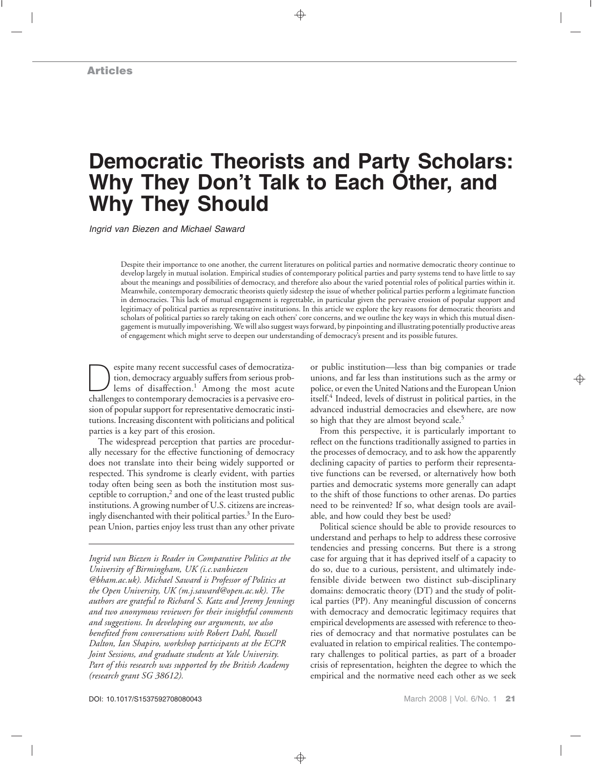## **Democratic Theorists and Party Scholars: Why They Don't Talk to Each Other, and Why They Should**

*Ingrid van Biezen and Michael Saward*

Despite their importance to one another, the current literatures on political parties and normative democratic theory continue to develop largely in mutual isolation. Empirical studies of contemporary political parties and party systems tend to have little to say about the meanings and possibilities of democracy, and therefore also about the varied potential roles of political parties within it. Meanwhile, contemporary democratic theorists quietly sidestep the issue of whether political parties perform a legitimate function in democracies. This lack of mutual engagement is regrettable, in particular given the pervasive erosion of popular support and legitimacy of political parties as representative institutions. In this article we explore the key reasons for democratic theorists and scholars of political parties so rarely taking on each others' core concerns, and we outline the key ways in which this mutual disengagement is mutually impoverishing. We will also suggest ways forward, by pinpointing and illustrating potentially productive areas of engagement which might serve to deepen our understanding of democracy's present and its possible futures.

Sepite many recent successful cases of democratiza-<br>
lems of disaffection.<sup>1</sup> Among the most acute<br>
challanges to contemporary democratics is a persentia are tion, democracy arguably suffers from serious probchallenges to contemporary democracies is a pervasive erosion of popular support for representative democratic institutions. Increasing discontent with politicians and political parties is a key part of this erosion.

The widespread perception that parties are procedurally necessary for the effective functioning of democracy does not translate into their being widely supported or respected. This syndrome is clearly evident, with parties today often being seen as both the institution most susceptible to corruption, $<sup>2</sup>$  and one of the least trusted public</sup> institutions. A growing number of U.S. citizens are increasingly disenchanted with their political parties.<sup>3</sup> In the European Union, parties enjoy less trust than any other private

*Ingrid van Biezen is Reader in Comparative Politics at the University of Birmingham, UK (i.c.vanbiezen @bham.ac.uk). Michael Saward is Professor of Politics at the Open University, UK (m.j.saward@open.ac.uk). The authors are grateful to Richard S. Katz and Jeremy Jennings and two anonymous reviewers for their insightful comments and suggestions. In developing our arguments, we also benefited from conversations with Robert Dahl, Russell Dalton, Ian Shapiro, workshop participants at the ECPR Joint Sessions, and graduate students at Yale University. Part of this research was supported by the British Academy (research grant SG 38612).*

or public institution—less than big companies or trade unions, and far less than institutions such as the army or police, or even the United Nations and the European Union itself.<sup>4</sup> Indeed, levels of distrust in political parties, in the advanced industrial democracies and elsewhere, are now so high that they are almost beyond scale.<sup>5</sup>

From this perspective, it is particularly important to reflect on the functions traditionally assigned to parties in the processes of democracy, and to ask how the apparently declining capacity of parties to perform their representative functions can be reversed, or alternatively how both parties and democratic systems more generally can adapt to the shift of those functions to other arenas. Do parties need to be reinvented? If so, what design tools are available, and how could they best be used?

Political science should be able to provide resources to understand and perhaps to help to address these corrosive tendencies and pressing concerns. But there is a strong case for arguing that it has deprived itself of a capacity to do so, due to a curious, persistent, and ultimately indefensible divide between two distinct sub-disciplinary domains: democratic theory (DT) and the study of political parties (PP). Any meaningful discussion of concerns with democracy and democratic legitimacy requires that empirical developments are assessed with reference to theories of democracy and that normative postulates can be evaluated in relation to empirical realities. The contemporary challenges to political parties, as part of a broader crisis of representation, heighten the degree to which the empirical and the normative need each other as we seek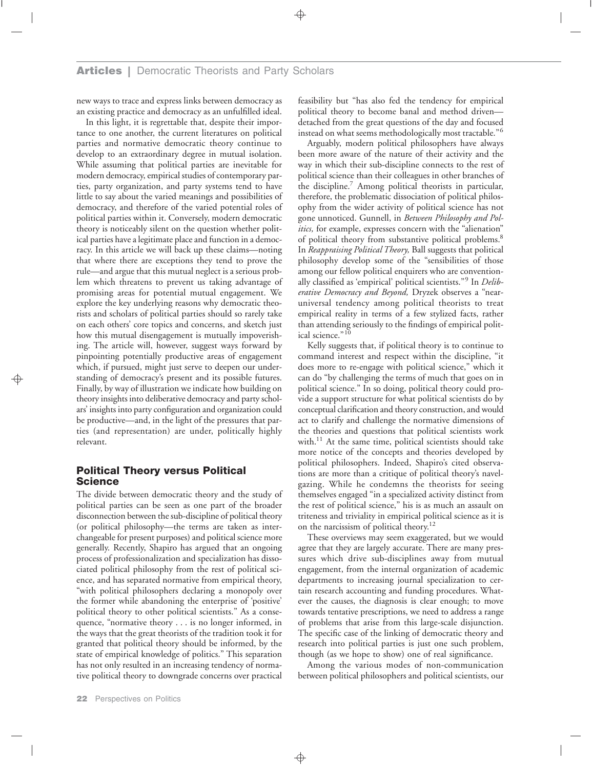new ways to trace and express links between democracy as an existing practice and democracy as an unfulfilled ideal.

In this light, it is regrettable that, despite their importance to one another, the current literatures on political parties and normative democratic theory continue to develop to an extraordinary degree in mutual isolation. While assuming that political parties are inevitable for modern democracy, empirical studies of contemporary parties, party organization, and party systems tend to have little to say about the varied meanings and possibilities of democracy, and therefore of the varied potential roles of political parties within it. Conversely, modern democratic theory is noticeably silent on the question whether political parties have a legitimate place and function in a democracy. In this article we will back up these claims—noting that where there are exceptions they tend to prove the rule—and argue that this mutual neglect is a serious problem which threatens to prevent us taking advantage of promising areas for potential mutual engagement. We explore the key underlying reasons why democratic theorists and scholars of political parties should so rarely take on each others' core topics and concerns, and sketch just how this mutual disengagement is mutually impoverishing. The article will, however, suggest ways forward by pinpointing potentially productive areas of engagement which, if pursued, might just serve to deepen our understanding of democracy's present and its possible futures. Finally, by way of illustration we indicate how building on theory insights into deliberative democracy and party scholars' insights into party configuration and organization could be productive—and, in the light of the pressures that parties (and representation) are under, politically highly relevant.

## **Political Theory versus Political Science**

The divide between democratic theory and the study of political parties can be seen as one part of the broader disconnection between the sub-discipline of political theory (or political philosophy—the terms are taken as interchangeable for present purposes) and political science more generally. Recently, Shapiro has argued that an ongoing process of professionalization and specialization has dissociated political philosophy from the rest of political science, and has separated normative from empirical theory, "with political philosophers declaring a monopoly over the former while abandoning the enterprise of 'positive' political theory to other political scientists." As a consequence, "normative theory . . . is no longer informed, in the ways that the great theorists of the tradition took it for granted that political theory should be informed, by the state of empirical knowledge of politics." This separation has not only resulted in an increasing tendency of normative political theory to downgrade concerns over practical

feasibility but "has also fed the tendency for empirical political theory to become banal and method driven detached from the great questions of the day and focused instead on what seems methodologically most tractable."<sup>6</sup>

Arguably, modern political philosophers have always been more aware of the nature of their activity and the way in which their sub-discipline connects to the rest of political science than their colleagues in other branches of the discipline.7 Among political theorists in particular, therefore, the problematic dissociation of political philosophy from the wider activity of political science has not gone unnoticed. Gunnell, in *Between Philosophy and Politics,* for example, expresses concern with the "alienation" of political theory from substantive political problems.<sup>8</sup> In *Reappraising Political Theory,* Ball suggests that political philosophy develop some of the "sensibilities of those among our fellow political enquirers who are conventionally classified as 'empirical' political scientists."<sup>9</sup> In *Deliberative Democracy and Beyond,* Dryzek observes a "nearuniversal tendency among political theorists to treat empirical reality in terms of a few stylized facts, rather than attending seriously to the findings of empirical political science."<sup>10</sup>

Kelly suggests that, if political theory is to continue to command interest and respect within the discipline, "it does more to re-engage with political science," which it can do "by challenging the terms of much that goes on in political science." In so doing, political theory could provide a support structure for what political scientists do by conceptual clarification and theory construction, and would act to clarify and challenge the normative dimensions of the theories and questions that political scientists work with.<sup>11</sup> At the same time, political scientists should take more notice of the concepts and theories developed by political philosophers. Indeed, Shapiro's cited observations are more than a critique of political theory's navelgazing. While he condemns the theorists for seeing themselves engaged "in a specialized activity distinct from the rest of political science," his is as much an assault on triteness and triviality in empirical political science as it is on the narcissism of political theory.<sup>12</sup>

These overviews may seem exaggerated, but we would agree that they are largely accurate. There are many pressures which drive sub-disciplines away from mutual engagement, from the internal organization of academic departments to increasing journal specialization to certain research accounting and funding procedures. Whatever the causes, the diagnosis is clear enough; to move towards tentative prescriptions, we need to address a range of problems that arise from this large-scale disjunction. The specific case of the linking of democratic theory and research into political parties is just one such problem, though (as we hope to show) one of real significance.

Among the various modes of non-communication between political philosophers and political scientists, our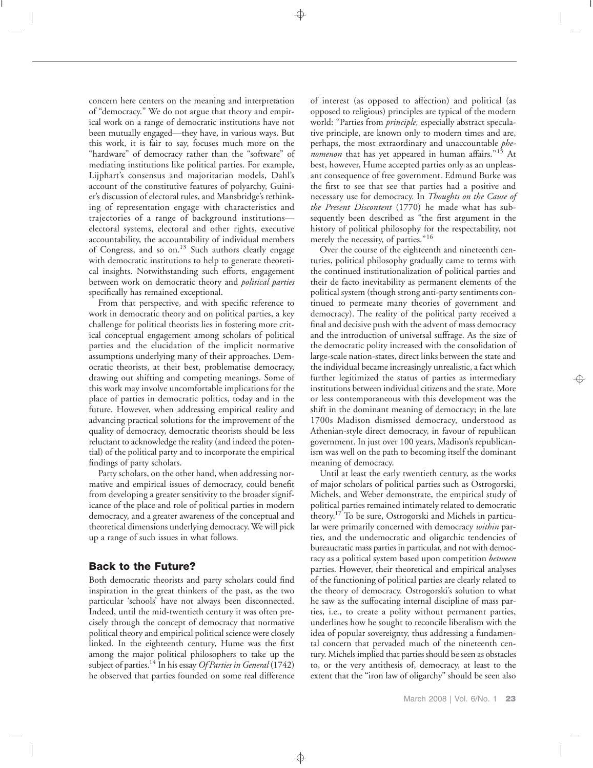concern here centers on the meaning and interpretation of "democracy." We do not argue that theory and empirical work on a range of democratic institutions have not been mutually engaged—they have, in various ways. But this work, it is fair to say, focuses much more on the "hardware" of democracy rather than the "software" of mediating institutions like political parties. For example, Lijphart's consensus and majoritarian models, Dahl's account of the constitutive features of polyarchy, Guinier's discussion of electoral rules, and Mansbridge's rethinking of representation engage with characteristics and trajectories of a range of background institutions electoral systems, electoral and other rights, executive accountability, the accountability of individual members of Congress, and so on.<sup>13</sup> Such authors clearly engage with democratic institutions to help to generate theoretical insights. Notwithstanding such efforts, engagement between work on democratic theory and *political parties* specifically has remained exceptional.

From that perspective, and with specific reference to work in democratic theory and on political parties, a key challenge for political theorists lies in fostering more critical conceptual engagement among scholars of political parties and the elucidation of the implicit normative assumptions underlying many of their approaches. Democratic theorists, at their best, problematise democracy, drawing out shifting and competing meanings. Some of this work may involve uncomfortable implications for the place of parties in democratic politics, today and in the future. However, when addressing empirical reality and advancing practical solutions for the improvement of the quality of democracy, democratic theorists should be less reluctant to acknowledge the reality (and indeed the potential) of the political party and to incorporate the empirical findings of party scholars.

Party scholars, on the other hand, when addressing normative and empirical issues of democracy, could benefit from developing a greater sensitivity to the broader significance of the place and role of political parties in modern democracy, and a greater awareness of the conceptual and theoretical dimensions underlying democracy. We will pick up a range of such issues in what follows.

#### **Back to the Future?**

Both democratic theorists and party scholars could find inspiration in the great thinkers of the past, as the two particular 'schools' have not always been disconnected. Indeed, until the mid-twentieth century it was often precisely through the concept of democracy that normative political theory and empirical political science were closely linked. In the eighteenth century, Hume was the first among the major political philosophers to take up the subject of parties.14 In his essay *Of Parties in General* (1742) he observed that parties founded on some real difference of interest (as opposed to affection) and political (as opposed to religious) principles are typical of the modern world: "Parties from *principle,* especially abstract speculative principle, are known only to modern times and are, perhaps, the most extraordinary and unaccountable *phenomenon* that has yet appeared in human affairs."<sup>15</sup> At best, however, Hume accepted parties only as an unpleasant consequence of free government. Edmund Burke was the first to see that see that parties had a positive and necessary use for democracy. In *Thoughts on the Cause of the Present Discontent* (1770) he made what has subsequently been described as "the first argument in the history of political philosophy for the respectability, not merely the necessity, of parties."<sup>16</sup>

Over the course of the eighteenth and nineteenth centuries, political philosophy gradually came to terms with the continued institutionalization of political parties and their de facto inevitability as permanent elements of the political system (though strong anti-party sentiments continued to permeate many theories of government and democracy). The reality of the political party received a final and decisive push with the advent of mass democracy and the introduction of universal suffrage. As the size of the democratic polity increased with the consolidation of large-scale nation-states, direct links between the state and the individual became increasingly unrealistic, a fact which further legitimized the status of parties as intermediary institutions between individual citizens and the state. More or less contemporaneous with this development was the shift in the dominant meaning of democracy; in the late 1700s Madison dismissed democracy, understood as Athenian-style direct democracy, in favour of republican government. In just over 100 years, Madison's republicanism was well on the path to becoming itself the dominant meaning of democracy.

Until at least the early twentieth century, as the works of major scholars of political parties such as Ostrogorski, Michels, and Weber demonstrate, the empirical study of political parties remained intimately related to democratic theory.17 To be sure, Ostrogorski and Michels in particular were primarily concerned with democracy *within* parties, and the undemocratic and oligarchic tendencies of bureaucratic mass parties in particular, and not with democracy as a political system based upon competition *between* parties. However, their theoretical and empirical analyses of the functioning of political parties are clearly related to the theory of democracy. Ostrogorski's solution to what he saw as the suffocating internal discipline of mass parties, i.e., to create a polity without permanent parties, underlines how he sought to reconcile liberalism with the idea of popular sovereignty, thus addressing a fundamental concern that pervaded much of the nineteenth century. Michels implied that parties should be seen as obstacles to, or the very antithesis of, democracy, at least to the extent that the "iron law of oligarchy" should be seen also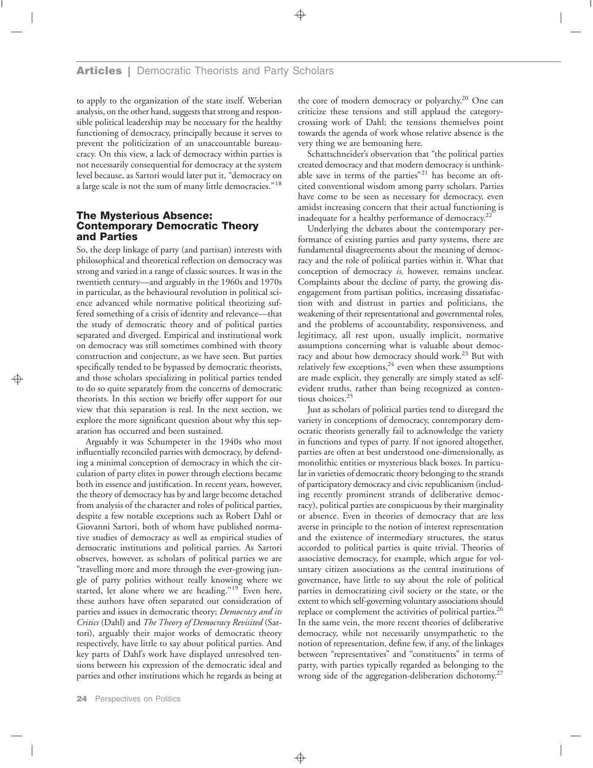to apply to the organization of the state itself. Weberian analysis, on the other hand, suggests that strong and responsible political leadership may be necessary for the healthy functioning of democracy, principally because it serves to prevent the politicization of an unaccountable bureaucracy. On this view, a lack of democracy within parties is not necessarily consequential for democracy at the system level because, as Sartori would later put it, "democracy on a large scale is not the sum of many little democracies."<sup>18</sup>

#### **The Mysterious Absence: Contemporary Democratic Theory and Parties**

So, the deep linkage of party (and partisan) interests with philosophical and theoretical reflection on democracy was strong and varied in a range of classic sources. It was in the twentieth century—and arguably in the 1960s and 1970s in particular, as the behavioural revolution in political science advanced while normative political theorizing suffered something of a crisis of identity and relevance—that the study of democratic theory and of political parties separated and diverged. Empirical and institutional work on democracy was still sometimes combined with theory construction and conjecture, as we have seen. But parties specifically tended to be bypassed by democratic theorists, and those scholars specializing in political parties tended to do so quite separately from the concerns of democratic theorists. In this section we briefly offer support for our view that this separation is real. In the next section, we explore the more significant question about why this separation has occurred and been sustained.

Arguably it was Schumpeter in the 1940s who most influentially reconciled parties with democracy, by defending a minimal conception of democracy in which the circulation of party elites in power through elections became both its essence and justification. In recent years, however, the theory of democracy has by and large become detached from analysis of the character and roles of political parties, despite a few notable exceptions such as Robert Dahl or Giovanni Sartori, both of whom have published normative studies of democracy as well as empirical studies of democratic institutions and political parties. As Sartori observes, however, as scholars of political parties we are "travelling more and more through the ever-growing jungle of party polities without really knowing where we started, let alone where we are heading."<sup>19</sup> Even here, these authors have often separated out consideration of parties and issues in democratic theory; *Democracy and its Critics* (Dahl) and *The Theory of Democracy Revisited* (Sartori), arguably their major works of democratic theory respectively, have little to say about political parties. And key parts of Dahl's work have displayed unresolved tensions between his expression of the democratic ideal and parties and other institutions which he regards as being at

Schattschneider's observation that "the political parties created democracy and that modern democracy is unthinkable save in terms of the parties"<sup>21</sup> has become an oftcited conventional wisdom among party scholars. Parties have come to be seen as necessary for democracy, even amidst increasing concern that their actual functioning is inadequate for a healthy performance of democracy. $22$ 

Underlying the debates about the contemporary performance of existing parties and party systems, there are fundamental disagreements about the meaning of democracy and the role of political parties within it. What that conception of democracy *is,* however, remains unclear. Complaints about the decline of party, the growing disengagement from partisan politics, increasing dissatisfaction with and distrust in parties and politicians, the weakening of their representational and governmental roles, and the problems of accountability, responsiveness, and legitimacy, all rest upon, usually implicit, normative assumptions concerning what is valuable about democracy and about how democracy should work.<sup>23</sup> But with relatively few exceptions, $24$  even when these assumptions are made explicit, they generally are simply stated as selfevident truths, rather than being recognized as contentious choices.25

Just as scholars of political parties tend to disregard the variety in conceptions of democracy, contemporary democratic theorists generally fail to acknowledge the variety in functions and types of party. If not ignored altogether, parties are often at best understood one-dimensionally, as monolithic entities or mysterious black boxes. In particular in varieties of democratic theory belonging to the strands of participatory democracy and civic republicanism (including recently prominent strands of deliberative democracy), political parties are conspicuous by their marginality or absence. Even in theories of democracy that are less averse in principle to the notion of interest representation and the existence of intermediary structures, the status accorded to political parties is quite trivial. Theories of associative democracy, for example, which argue for voluntary citizen associations as the central institutions of governance, have little to say about the role of political parties in democratizing civil society or the state, or the extent to which self-governing voluntary associations should replace or complement the activities of political parties.<sup>26</sup> In the same vein, the more recent theories of deliberative democracy, while not necessarily unsympathetic to the notion of representation, define few, if any, of the linkages between "representatives" and "constituents" in terms of party, with parties typically regarded as belonging to the wrong side of the aggregation-deliberation dichotomy.<sup>27</sup>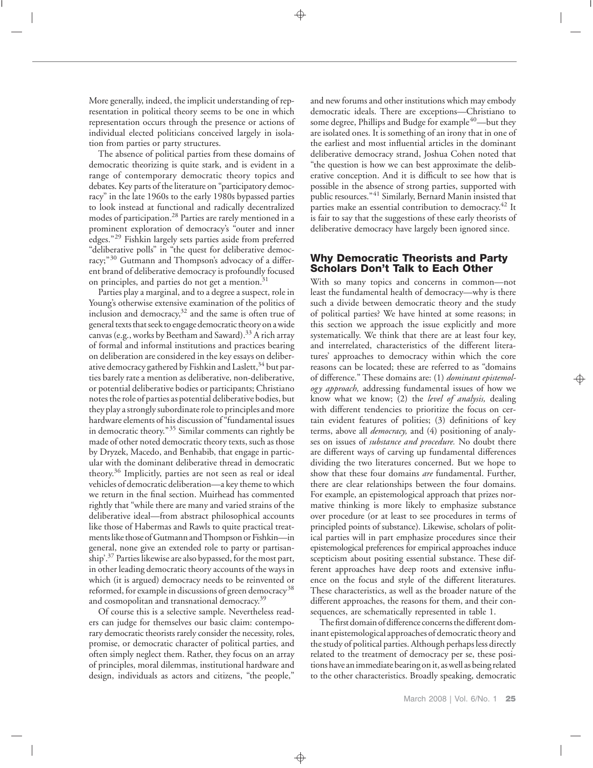More generally, indeed, the implicit understanding of representation in political theory seems to be one in which representation occurs through the presence or actions of individual elected politicians conceived largely in isolation from parties or party structures.

The absence of political parties from these domains of democratic theorizing is quite stark, and is evident in a range of contemporary democratic theory topics and debates. Key parts of the literature on "participatory democracy" in the late 1960s to the early 1980s bypassed parties to look instead at functional and radically decentralized modes of participation.<sup>28</sup> Parties are rarely mentioned in a prominent exploration of democracy's "outer and inner edges."<sup>29</sup> Fishkin largely sets parties aside from preferred "deliberative polls" in "the quest for deliberative democracy;"<sup>30</sup> Gutmann and Thompson's advocacy of a different brand of deliberative democracy is profoundly focused on principles, and parties do not get a mention.<sup>31</sup>

Parties play a marginal, and to a degree a suspect, role in Young's otherwise extensive examination of the politics of inclusion and democracy, $32$  and the same is often true of general texts that seek to engage democratic theory on a wide canvas (e.g., works by Beetham and Saward).<sup>33</sup> A rich array of formal and informal institutions and practices bearing on deliberation are considered in the key essays on deliberative democracy gathered by Fishkin and Laslett,<sup>34</sup> but parties barely rate a mention as deliberative, non-deliberative, or potential deliberative bodies or participants; Christiano notes the role of parties as potential deliberative bodies, but they play a strongly subordinate role to principles and more hardware elements of his discussion of "fundamental issues in democratic theory."<sup>35</sup> Similar comments can rightly be made of other noted democratic theory texts, such as those by Dryzek, Macedo, and Benhabib, that engage in particular with the dominant deliberative thread in democratic theory.<sup>36</sup> Implicitly, parties are not seen as real or ideal vehicles of democratic deliberation—a key theme to which we return in the final section. Muirhead has commented rightly that "while there are many and varied strains of the deliberative ideal—from abstract philosophical accounts like those of Habermas and Rawls to quite practical treatments like those of Gutmann andThompson or Fishkin—in general, none give an extended role to party or partisanship'.<sup>37</sup> Parties likewise are also bypassed, for the most part, in other leading democratic theory accounts of the ways in which (it is argued) democracy needs to be reinvented or reformed, for example in discussions of green democracy<sup>38</sup> and cosmopolitan and transnational democracy.<sup>39</sup>

Of course this is a selective sample. Nevertheless readers can judge for themselves our basic claim: contemporary democratic theorists rarely consider the necessity, roles, promise, or democratic character of political parties, and often simply neglect them. Rather, they focus on an array of principles, moral dilemmas, institutional hardware and design, individuals as actors and citizens, "the people,"

and new forums and other institutions which may embody democratic ideals. There are exceptions—Christiano to some degree, Phillips and Budge for example<sup>40</sup>—but they are isolated ones. It is something of an irony that in one of the earliest and most influential articles in the dominant deliberative democracy strand, Joshua Cohen noted that "the question is how we can best approximate the deliberative conception. And it is difficult to see how that is possible in the absence of strong parties, supported with public resources."<sup>41</sup> Similarly, Bernard Manin insisted that parties make an essential contribution to democracy.<sup>42</sup> It is fair to say that the suggestions of these early theorists of deliberative democracy have largely been ignored since.

#### **Why Democratic Theorists and Party Scholars Don't Talk to Each Other**

With so many topics and concerns in common—not least the fundamental health of democracy—why is there such a divide between democratic theory and the study of political parties? We have hinted at some reasons; in this section we approach the issue explicitly and more systematically. We think that there are at least four key, and interrelated, characteristics of the different literatures' approaches to democracy within which the core reasons can be located; these are referred to as "domains of difference." These domains are: (1) *dominant epistemology approach*, addressing fundamental issues of how we know what we know; (2) the *level of analysis,* dealing with different tendencies to prioritize the focus on certain evident features of polities; (3) definitions of key terms, above all *democracy,* and (4) positioning of analyses on issues of *substance and procedure.* No doubt there are different ways of carving up fundamental differences dividing the two literatures concerned. But we hope to show that these four domains *are* fundamental. Further, there are clear relationships between the four domains. For example, an epistemological approach that prizes normative thinking is more likely to emphasize substance over procedure (or at least to see procedures in terms of principled points of substance). Likewise, scholars of political parties will in part emphasize procedures since their epistemological preferences for empirical approaches induce scepticism about positing essential substance. These different approaches have deep roots and extensive influence on the focus and style of the different literatures. These characteristics, as well as the broader nature of the different approaches, the reasons for them, and their consequences, are schematically represented in table 1.

The first domain of difference concerns the different dominant epistemological approaches of democratic theory and the study of political parties. Although perhaps less directly related to the treatment of democracy per se, these positions have an immediate bearing on it, as well as being related to the other characteristics. Broadly speaking, democratic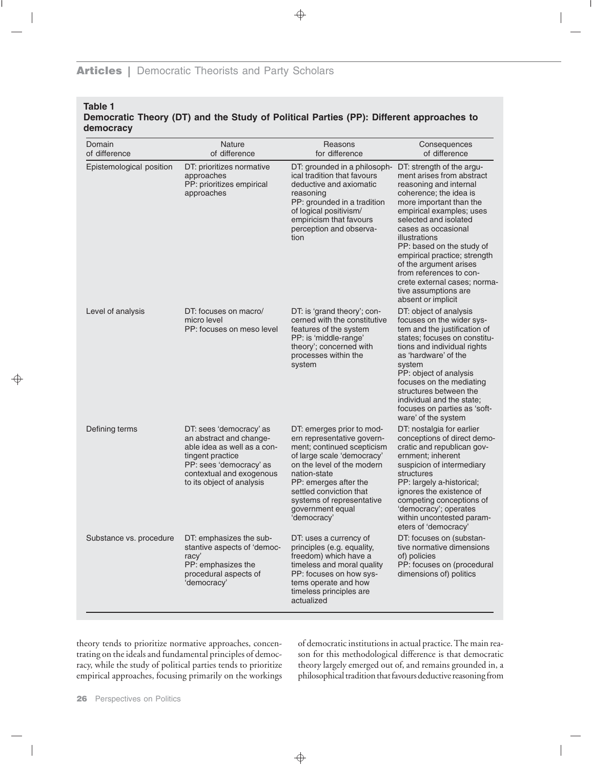**Table 1**

#### **Democratic Theory (DT) and the Study of Political Parties (PP): Different approaches to democracy**

| Domain<br>of difference  | <b>Nature</b><br>of difference                                                                                                                                                            | Reasons<br>for difference                                                                                                                                                                                                                                                             | Consequences<br>of difference                                                                                                                                                                                                                                                                                                                                                                                                      |
|--------------------------|-------------------------------------------------------------------------------------------------------------------------------------------------------------------------------------------|---------------------------------------------------------------------------------------------------------------------------------------------------------------------------------------------------------------------------------------------------------------------------------------|------------------------------------------------------------------------------------------------------------------------------------------------------------------------------------------------------------------------------------------------------------------------------------------------------------------------------------------------------------------------------------------------------------------------------------|
| Epistemological position | DT: prioritizes normative<br>approaches<br>PP: prioritizes empirical<br>approaches                                                                                                        | DT: grounded in a philosoph-<br>ical tradition that favours<br>deductive and axiomatic<br>reasoning<br>PP: grounded in a tradition<br>of logical positivism/<br>empiricism that favours<br>perception and observa-<br>tion                                                            | DT: strength of the argu-<br>ment arises from abstract<br>reasoning and internal<br>coherence; the idea is<br>more important than the<br>empirical examples; uses<br>selected and isolated<br>cases as occasional<br>illustrations<br>PP: based on the study of<br>empirical practice; strength<br>of the argument arises<br>from references to con-<br>crete external cases; norma-<br>tive assumptions are<br>absent or implicit |
| Level of analysis        | DT: focuses on macro/<br>micro level<br>PP: focuses on meso level                                                                                                                         | DT: is 'grand theory'; con-<br>cerned with the constitutive<br>features of the system<br>PP: is 'middle-range'<br>theory'; concerned with<br>processes within the<br>system                                                                                                           | DT: object of analysis<br>focuses on the wider sys-<br>tem and the justification of<br>states; focuses on constitu-<br>tions and individual rights<br>as 'hardware' of the<br>system<br>PP: object of analysis<br>focuses on the mediating<br>structures between the<br>individual and the state;<br>focuses on parties as 'soft-<br>ware' of the system                                                                           |
| Defining terms           | DT: sees 'democracy' as<br>an abstract and change-<br>able idea as well as a con-<br>tingent practice<br>PP: sees 'democracy' as<br>contextual and exogenous<br>to its object of analysis | DT: emerges prior to mod-<br>ern representative govern-<br>ment; continued scepticism<br>of large scale 'democracy'<br>on the level of the modern<br>nation-state<br>PP: emerges after the<br>settled conviction that<br>systems of representative<br>government equal<br>'democracy' | DT: nostalgia for earlier<br>conceptions of direct demo-<br>cratic and republican gov-<br>ernment; inherent<br>suspicion of intermediary<br>structures<br>PP: largely a-historical;<br>ignores the existence of<br>competing conceptions of<br>'democracy'; operates<br>within uncontested param-<br>eters of 'democracy'                                                                                                          |
| Substance vs. procedure  | DT: emphasizes the sub-<br>stantive aspects of 'democ-<br>racy'<br>PP: emphasizes the<br>procedural aspects of<br>'democracy'                                                             | DT: uses a currency of<br>principles (e.g. equality,<br>freedom) which have a<br>timeless and moral quality<br>PP: focuses on how sys-<br>tems operate and how<br>timeless principles are<br>actualized                                                                               | DT: focuses on (substan-<br>tive normative dimensions<br>of) policies<br>PP: focuses on (procedural<br>dimensions of) politics                                                                                                                                                                                                                                                                                                     |

theory tends to prioritize normative approaches, concentrating on the ideals and fundamental principles of democracy, while the study of political parties tends to prioritize empirical approaches, focusing primarily on the workings of democratic institutions in actual practice. The main reason for this methodological difference is that democratic theory largely emerged out of, and remains grounded in, a philosophical tradition that favours deductive reasoning from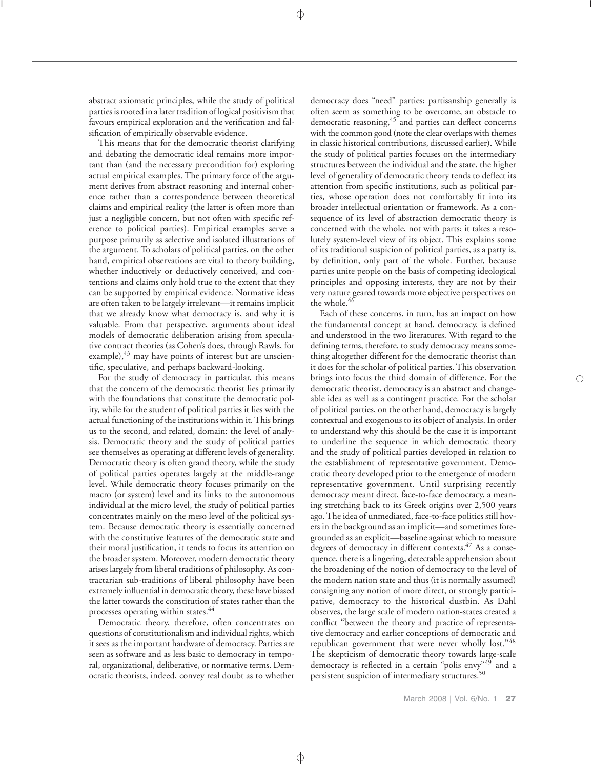abstract axiomatic principles, while the study of political parties is rooted in a later tradition of logical positivism that favours empirical exploration and the verification and falsification of empirically observable evidence.

This means that for the democratic theorist clarifying and debating the democratic ideal remains more important than (and the necessary precondition for) exploring actual empirical examples. The primary force of the argument derives from abstract reasoning and internal coherence rather than a correspondence between theoretical claims and empirical reality (the latter is often more than just a negligible concern, but not often with specific reference to political parties). Empirical examples serve a purpose primarily as selective and isolated illustrations of the argument. To scholars of political parties, on the other hand, empirical observations are vital to theory building, whether inductively or deductively conceived, and contentions and claims only hold true to the extent that they can be supported by empirical evidence. Normative ideas are often taken to be largely irrelevant—it remains implicit that we already know what democracy is, and why it is valuable. From that perspective, arguments about ideal models of democratic deliberation arising from speculative contract theories (as Cohen's does, through Rawls, for example), $43$  may have points of interest but are unscientific, speculative, and perhaps backward-looking.

For the study of democracy in particular, this means that the concern of the democratic theorist lies primarily with the foundations that constitute the democratic polity, while for the student of political parties it lies with the actual functioning of the institutions within it. This brings us to the second, and related, domain: the level of analysis. Democratic theory and the study of political parties see themselves as operating at different levels of generality. Democratic theory is often grand theory, while the study of political parties operates largely at the middle-range level. While democratic theory focuses primarily on the macro (or system) level and its links to the autonomous individual at the micro level, the study of political parties concentrates mainly on the meso level of the political system. Because democratic theory is essentially concerned with the constitutive features of the democratic state and their moral justification, it tends to focus its attention on the broader system. Moreover, modern democratic theory arises largely from liberal traditions of philosophy. As contractarian sub-traditions of liberal philosophy have been extremely influential in democratic theory, these have biased the latter towards the constitution of states rather than the processes operating within states.<sup>44</sup>

Democratic theory, therefore, often concentrates on questions of constitutionalism and individual rights, which it sees as the important hardware of democracy. Parties are seen as software and as less basic to democracy in temporal, organizational, deliberative, or normative terms. Democratic theorists, indeed, convey real doubt as to whether

democracy does "need" parties; partisanship generally is often seem as something to be overcome, an obstacle to democratic reasoning,<sup>45</sup> and parties can deflect concerns with the common good (note the clear overlaps with themes in classic historical contributions, discussed earlier). While the study of political parties focuses on the intermediary structures between the individual and the state, the higher level of generality of democratic theory tends to deflect its attention from specific institutions, such as political parties, whose operation does not comfortably fit into its broader intellectual orientation or framework. As a consequence of its level of abstraction democratic theory is concerned with the whole, not with parts; it takes a resolutely system-level view of its object. This explains some of its traditional suspicion of political parties, as a party is, by definition, only part of the whole. Further, because parties unite people on the basis of competing ideological principles and opposing interests, they are not by their very nature geared towards more objective perspectives on the whole.46

Each of these concerns, in turn, has an impact on how the fundamental concept at hand, democracy, is defined and understood in the two literatures. With regard to the defining terms, therefore, to study democracy means something altogether different for the democratic theorist than it does for the scholar of political parties. This observation brings into focus the third domain of difference. For the democratic theorist, democracy is an abstract and changeable idea as well as a contingent practice. For the scholar of political parties, on the other hand, democracy is largely contextual and exogenous to its object of analysis. In order to understand why this should be the case it is important to underline the sequence in which democratic theory and the study of political parties developed in relation to the establishment of representative government. Democratic theory developed prior to the emergence of modern representative government. Until surprising recently democracy meant direct, face-to-face democracy, a meaning stretching back to its Greek origins over 2,500 years ago. The idea of unmediated, face-to-face politics still hovers in the background as an implicit—and sometimes foregrounded as an explicit—baseline against which to measure degrees of democracy in different contexts.<sup>47</sup> As a consequence, there is a lingering, detectable apprehension about the broadening of the notion of democracy to the level of the modern nation state and thus (it is normally assumed) consigning any notion of more direct, or strongly participative, democracy to the historical dustbin. As Dahl observes, the large scale of modern nation-states created a conflict "between the theory and practice of representative democracy and earlier conceptions of democratic and republican government that were never wholly lost."<sup>48</sup> The skepticism of democratic theory towards large-scale democracy is reflected in a certain "polis envy"<sup>49</sup> and a persistent suspicion of intermediary structures.<sup>50</sup>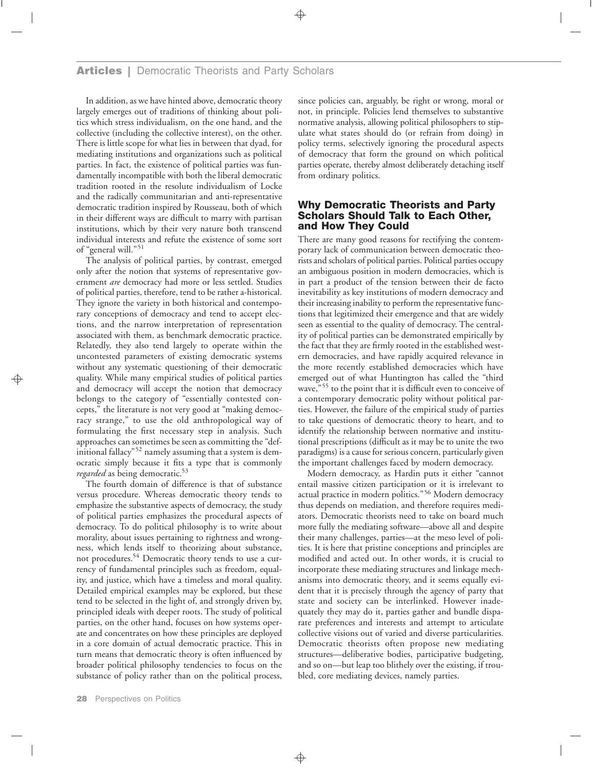## **Articles |** Democratic Theorists and Party Scholars

In addition, as we have hinted above, democratic theory largely emerges out of traditions of thinking about politics which stress individualism, on the one hand, and the collective (including the collective interest), on the other. There is little scope for what lies in between that dyad, for mediating institutions and organizations such as political parties. In fact, the existence of political parties was fundamentally incompatible with both the liberal democratic tradition rooted in the resolute individualism of Locke and the radically communitarian and anti-representative democratic tradition inspired by Rousseau, both of which in their different ways are difficult to marry with partisan institutions, which by their very nature both transcend individual interests and refute the existence of some sort of "general will."<sup>51</sup>

The analysis of political parties, by contrast, emerged only after the notion that systems of representative government *are* democracy had more or less settled. Studies of political parties, therefore, tend to be rather a-historical. They ignore the variety in both historical and contemporary conceptions of democracy and tend to accept elections, and the narrow interpretation of representation associated with them, as benchmark democratic practice. Relatedly, they also tend largely to operate within the uncontested parameters of existing democratic systems without any systematic questioning of their democratic quality. While many empirical studies of political parties and democracy will accept the notion that democracy belongs to the category of "essentially contested concepts," the literature is not very good at "making democracy strange," to use the old anthropological way of formulating the first necessary step in analysis. Such approaches can sometimes be seen as committing the "definitional fallacy"<sup>52</sup> namely assuming that a system is democratic simply because it fits a type that is commonly *regarded* as being democratic.<sup>53</sup>

The fourth domain of difference is that of substance versus procedure. Whereas democratic theory tends to emphasize the substantive aspects of democracy, the study of political parties emphasizes the procedural aspects of democracy. To do political philosophy is to write about morality, about issues pertaining to rightness and wrongness, which lends itself to theorizing about substance, not procedures.54 Democratic theory tends to use a currency of fundamental principles such as freedom, equality, and justice, which have a timeless and moral quality. Detailed empirical examples may be explored, but these tend to be selected in the light of, and strongly driven by, principled ideals with deeper roots. The study of political parties, on the other hand, focuses on how systems operate and concentrates on how these principles are deployed in a core domain of actual democratic practice. This in turn means that democratic theory is often influenced by broader political philosophy tendencies to focus on the substance of policy rather than on the political process,

since policies can, arguably, be right or wrong, moral or not, in principle. Policies lend themselves to substantive normative analysis, allowing political philosophers to stipulate what states should do (or refrain from doing) in policy terms, selectively ignoring the procedural aspects of democracy that form the ground on which political parties operate, thereby almost deliberately detaching itself from ordinary politics.

#### **Why Democratic Theorists and Party Scholars Should Talk to Each Other, and How They Could**

There are many good reasons for rectifying the contemporary lack of communication between democratic theorists and scholars of political parties. Political parties occupy an ambiguous position in modern democracies, which is in part a product of the tension between their de facto inevitability as key institutions of modern democracy and their increasing inability to perform the representative functions that legitimized their emergence and that are widely seen as essential to the quality of democracy. The centrality of political parties can be demonstrated empirically by the fact that they are firmly rooted in the established western democracies, and have rapidly acquired relevance in the more recently established democracies which have emerged out of what Huntington has called the "third wave,"<sup>55</sup> to the point that it is difficult even to conceive of a contemporary democratic polity without political parties. However, the failure of the empirical study of parties to take questions of democratic theory to heart, and to identify the relationship between normative and institutional prescriptions (difficult as it may be to unite the two paradigms) is a cause for serious concern, particularly given the important challenges faced by modern democracy.

Modern democracy, as Hardin puts it either "cannot entail massive citizen participation or it is irrelevant to actual practice in modern politics."<sup>56</sup> Modern democracy thus depends on mediation, and therefore requires mediators. Democratic theorists need to take on board much more fully the mediating software—above all and despite their many challenges, parties—at the meso level of polities. It is here that pristine conceptions and principles are modified and acted out. In other words, it is crucial to incorporate these mediating structures and linkage mechanisms into democratic theory, and it seems equally evident that it is precisely through the agency of party that state and society can be interlinked. However inadequately they may do it, parties gather and bundle disparate preferences and interests and attempt to articulate collective visions out of varied and diverse particularities. Democratic theorists often propose new mediating structures—deliberative bodies, participative budgeting, and so on—but leap too blithely over the existing, if troubled, core mediating devices, namely parties.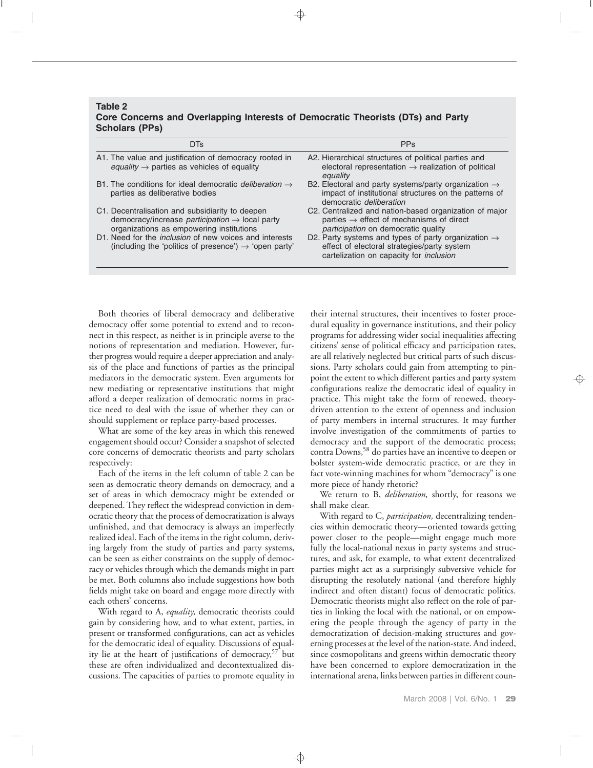| Table 2               |  |                                                                                 |  |  |  |
|-----------------------|--|---------------------------------------------------------------------------------|--|--|--|
|                       |  | Core Concerns and Overlapping Interests of Democratic Theorists (DTs) and Party |  |  |  |
| <b>Scholars (PPs)</b> |  |                                                                                 |  |  |  |

| D <sub>Ts</sub>                                                                                                                                                  | <b>PPs</b>                                                                                                                                                       |
|------------------------------------------------------------------------------------------------------------------------------------------------------------------|------------------------------------------------------------------------------------------------------------------------------------------------------------------|
| A1. The value and justification of democracy rooted in<br>equality $\rightarrow$ parties as vehicles of equality                                                 | A2. Hierarchical structures of political parties and<br>electoral representation $\rightarrow$ realization of political<br>equality                              |
| B1. The conditions for ideal democratic <i>deliberation</i> $\rightarrow$<br>parties as deliberative bodies                                                      | B2. Electoral and party systems/party organization $\rightarrow$<br>impact of institutional structures on the patterns of<br>democratic deliberation             |
| C1. Decentralisation and subsidiarity to deepen<br>democracy/increase <i>participation</i> $\rightarrow$ local party<br>organizations as empowering institutions | C2. Centralized and nation-based organization of major<br>parties $\rightarrow$ effect of mechanisms of direct<br>participation on democratic quality            |
| D1. Need for the <i>inclusion</i> of new voices and interests<br>(including the 'politics of presence') $\rightarrow$ 'open party'                               | D2. Party systems and types of party organization $\rightarrow$<br>effect of electoral strategies/party system<br>cartelization on capacity for <i>inclusion</i> |

Both theories of liberal democracy and deliberative democracy offer some potential to extend and to reconnect in this respect, as neither is in principle averse to the notions of representation and mediation. However, further progress would require a deeper appreciation and analysis of the place and functions of parties as the principal mediators in the democratic system. Even arguments for new mediating or representative institutions that might afford a deeper realization of democratic norms in practice need to deal with the issue of whether they can or should supplement or replace party-based processes.

What are some of the key areas in which this renewed engagement should occur? Consider a snapshot of selected core concerns of democratic theorists and party scholars respectively:

Each of the items in the left column of table 2 can be seen as democratic theory demands on democracy, and a set of areas in which democracy might be extended or deepened. They reflect the widespread conviction in democratic theory that the process of democratization is always unfinished, and that democracy is always an imperfectly realized ideal. Each of the items in the right column, deriving largely from the study of parties and party systems, can be seen as either constraints on the supply of democracy or vehicles through which the demands might in part be met. Both columns also include suggestions how both fields might take on board and engage more directly with each others' concerns.

With regard to A, *equality,* democratic theorists could gain by considering how, and to what extent, parties, in present or transformed configurations, can act as vehicles for the democratic ideal of equality. Discussions of equality lie at the heart of justifications of democracy,<sup>57</sup> but these are often individualized and decontextualized discussions. The capacities of parties to promote equality in

their internal structures, their incentives to foster procedural equality in governance institutions, and their policy programs for addressing wider social inequalities affecting citizens' sense of political efficacy and participation rates, are all relatively neglected but critical parts of such discussions. Party scholars could gain from attempting to pinpoint the extent to which different parties and party system configurations realize the democratic ideal of equality in practice. This might take the form of renewed, theorydriven attention to the extent of openness and inclusion of party members in internal structures. It may further involve investigation of the commitments of parties to democracy and the support of the democratic process; contra Downs,58 do parties have an incentive to deepen or bolster system-wide democratic practice, or are they in fact vote-winning machines for whom "democracy" is one more piece of handy rhetoric?

We return to B, *deliberation,* shortly, for reasons we shall make clear.

With regard to C, *participation,* decentralizing tendencies within democratic theory—oriented towards getting power closer to the people—might engage much more fully the local-national nexus in party systems and structures, and ask, for example, to what extent decentralized parties might act as a surprisingly subversive vehicle for disrupting the resolutely national (and therefore highly indirect and often distant) focus of democratic politics. Democratic theorists might also reflect on the role of parties in linking the local with the national, or on empowering the people through the agency of party in the democratization of decision-making structures and governing processes at the level of the nation-state. And indeed, since cosmopolitans and greens within democratic theory have been concerned to explore democratization in the international arena, links between parties in different coun-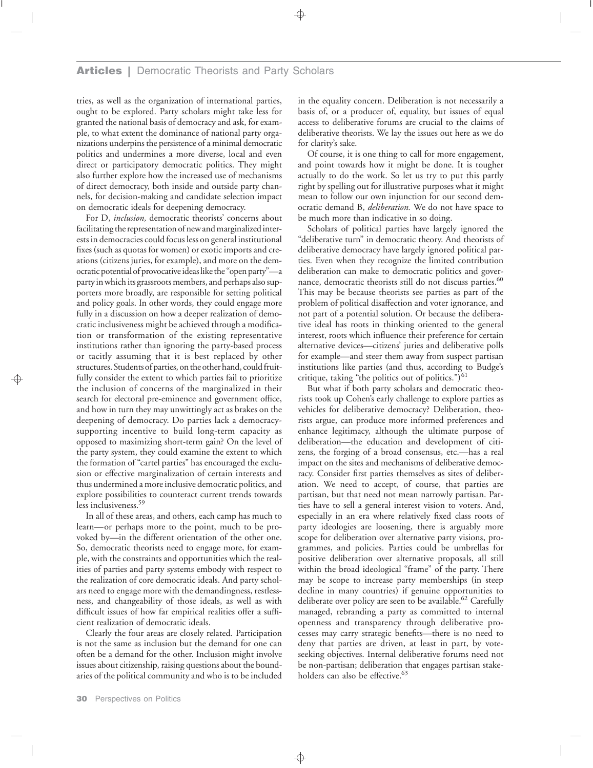#### **Articles |** Democratic Theorists and Party Scholars

tries, as well as the organization of international parties, ought to be explored. Party scholars might take less for granted the national basis of democracy and ask, for example, to what extent the dominance of national party organizations underpins the persistence of a minimal democratic politics and undermines a more diverse, local and even direct or participatory democratic politics. They might also further explore how the increased use of mechanisms of direct democracy, both inside and outside party channels, for decision-making and candidate selection impact on democratic ideals for deepening democracy.

For D, *inclusion,* democratic theorists' concerns about facilitating the representation of new and marginalized interests in democracies could focus less on general institutional fixes (such as quotas for women) or exotic imports and creations (citizens juries, for example), and more on the democratic potential of provocative ideas like the "open party"—a party in which its grassroots members, and perhaps also supporters more broadly, are responsible for setting political and policy goals. In other words, they could engage more fully in a discussion on how a deeper realization of democratic inclusiveness might be achieved through a modification or transformation of the existing representative institutions rather than ignoring the party-based process or tacitly assuming that it is best replaced by other structures. Students of parties, on the other hand, could fruitfully consider the extent to which parties fail to prioritize the inclusion of concerns of the marginalized in their search for electoral pre-eminence and government office, and how in turn they may unwittingly act as brakes on the deepening of democracy. Do parties lack a democracysupporting incentive to build long-term capacity as opposed to maximizing short-term gain? On the level of the party system, they could examine the extent to which the formation of "cartel parties" has encouraged the exclusion or effective marginalization of certain interests and thus undermined a more inclusive democratic politics, and explore possibilities to counteract current trends towards less inclusiveness.<sup>59</sup>

In all of these areas, and others, each camp has much to learn—or perhaps more to the point, much to be provoked by—in the different orientation of the other one. So, democratic theorists need to engage more, for example, with the constraints and opportunities which the realities of parties and party systems embody with respect to the realization of core democratic ideals. And party scholars need to engage more with the demandingness, restlessness, and changeability of those ideals, as well as with difficult issues of how far empirical realities offer a sufficient realization of democratic ideals.

Clearly the four areas are closely related. Participation is not the same as inclusion but the demand for one can often be a demand for the other. Inclusion might involve issues about citizenship, raising questions about the boundaries of the political community and who is to be included in the equality concern. Deliberation is not necessarily a basis of, or a producer of, equality, but issues of equal access to deliberative forums are crucial to the claims of deliberative theorists. We lay the issues out here as we do for clarity's sake.

Of course, it is one thing to call for more engagement, and point towards how it might be done. It is tougher actually to do the work. So let us try to put this partly right by spelling out for illustrative purposes what it might mean to follow our own injunction for our second democratic demand B, *deliberation.* We do not have space to be much more than indicative in so doing.

Scholars of political parties have largely ignored the "deliberative turn" in democratic theory. And theorists of deliberative democracy have largely ignored political parties. Even when they recognize the limited contribution deliberation can make to democratic politics and governance, democratic theorists still do not discuss parties.<sup>60</sup> This may be because theorists see parties as part of the problem of political disaffection and voter ignorance, and not part of a potential solution. Or because the deliberative ideal has roots in thinking oriented to the general interest, roots which influence their preference for certain alternative devices—citizens' juries and deliberative polls for example—and steer them away from suspect partisan institutions like parties (and thus, according to Budge's critique, taking "the politics out of politics.") $61$ 

But what if both party scholars and democratic theorists took up Cohen's early challenge to explore parties as vehicles for deliberative democracy? Deliberation, theorists argue, can produce more informed preferences and enhance legitimacy, although the ultimate purpose of deliberation—the education and development of citizens, the forging of a broad consensus, etc.—has a real impact on the sites and mechanisms of deliberative democracy. Consider first parties themselves as sites of deliberation. We need to accept, of course, that parties are partisan, but that need not mean narrowly partisan. Parties have to sell a general interest vision to voters. And, especially in an era where relatively fixed class roots of party ideologies are loosening, there is arguably more scope for deliberation over alternative party visions, programmes, and policies. Parties could be umbrellas for positive deliberation over alternative proposals, all still within the broad ideological "frame" of the party. There may be scope to increase party memberships (in steep decline in many countries) if genuine opportunities to deliberate over policy are seen to be available.<sup>62</sup> Carefully managed, rebranding a party as committed to internal openness and transparency through deliberative processes may carry strategic benefits—there is no need to deny that parties are driven, at least in part, by voteseeking objectives. Internal deliberative forums need not be non-partisan; deliberation that engages partisan stakeholders can also be effective.<sup>63</sup>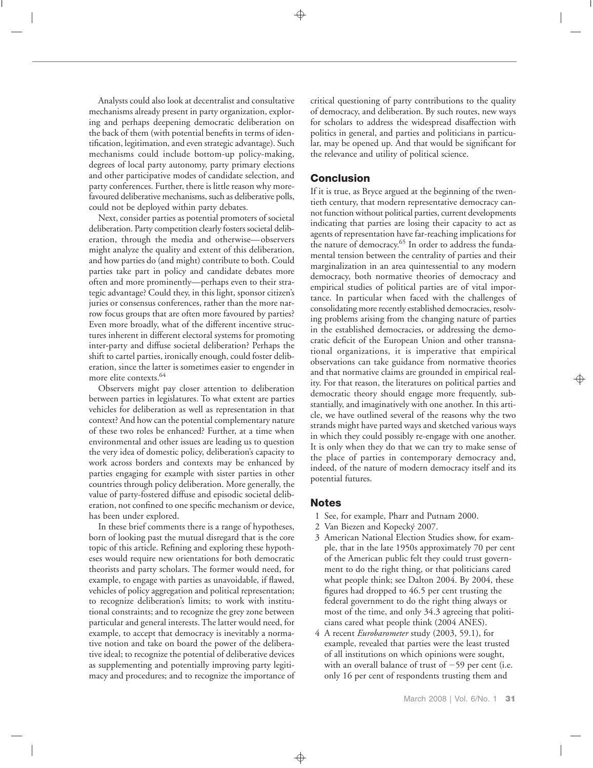Analysts could also look at decentralist and consultative mechanisms already present in party organization, exploring and perhaps deepening democratic deliberation on the back of them (with potential benefits in terms of identification, legitimation, and even strategic advantage). Such mechanisms could include bottom-up policy-making, degrees of local party autonomy, party primary elections and other participative modes of candidate selection, and party conferences. Further, there is little reason why morefavoured deliberative mechanisms, such as deliberative polls, could not be deployed within party debates.

Next, consider parties as potential promoters of societal deliberation. Party competition clearly fosters societal deliberation, through the media and otherwise—observers might analyze the quality and extent of this deliberation, and how parties do (and might) contribute to both. Could parties take part in policy and candidate debates more often and more prominently—perhaps even to their strategic advantage? Could they, in this light, sponsor citizen's juries or consensus conferences, rather than the more narrow focus groups that are often more favoured by parties? Even more broadly, what of the different incentive structures inherent in different electoral systems for promoting inter-party and diffuse societal deliberation? Perhaps the shift to cartel parties, ironically enough, could foster deliberation, since the latter is sometimes easier to engender in more elite contexts. $^{64}$ 

Observers might pay closer attention to deliberation between parties in legislatures. To what extent are parties vehicles for deliberation as well as representation in that context? And how can the potential complementary nature of these two roles be enhanced? Further, at a time when environmental and other issues are leading us to question the very idea of domestic policy, deliberation's capacity to work across borders and contexts may be enhanced by parties engaging for example with sister parties in other countries through policy deliberation. More generally, the value of party-fostered diffuse and episodic societal deliberation, not confined to one specific mechanism or device, has been under explored.

In these brief comments there is a range of hypotheses, born of looking past the mutual disregard that is the core topic of this article. Refining and exploring these hypotheses would require new orientations for both democratic theorists and party scholars. The former would need, for example, to engage with parties as unavoidable, if flawed, vehicles of policy aggregation and political representation; to recognize deliberation's limits; to work with institutional constraints; and to recognize the grey zone between particular and general interests. The latter would need, for example, to accept that democracy is inevitably a normative notion and take on board the power of the deliberative ideal; to recognize the potential of deliberative devices as supplementing and potentially improving party legitimacy and procedures; and to recognize the importance of critical questioning of party contributions to the quality of democracy, and deliberation. By such routes, new ways for scholars to address the widespread disaffection with politics in general, and parties and politicians in particular, may be opened up. And that would be significant for the relevance and utility of political science.

#### **Conclusion**

If it is true, as Bryce argued at the beginning of the twentieth century, that modern representative democracy cannot function without political parties, current developments indicating that parties are losing their capacity to act as agents of representation have far-reaching implications for the nature of democracy.<sup>65</sup> In order to address the fundamental tension between the centrality of parties and their marginalization in an area quintessential to any modern democracy, both normative theories of democracy and empirical studies of political parties are of vital importance. In particular when faced with the challenges of consolidating more recently established democracies, resolving problems arising from the changing nature of parties in the established democracies, or addressing the democratic deficit of the European Union and other transnational organizations, it is imperative that empirical observations can take guidance from normative theories and that normative claims are grounded in empirical reality. For that reason, the literatures on political parties and democratic theory should engage more frequently, substantially, and imaginatively with one another. In this article, we have outlined several of the reasons why the two strands might have parted ways and sketched various ways in which they could possibly re-engage with one another. It is only when they do that we can try to make sense of the place of parties in contemporary democracy and, indeed, of the nature of modern democracy itself and its potential futures.

#### **Notes**

- 1 See, for example, Pharr and Putnam 2000.
- 2 Van Biezen and Kopecký 2007.
- 3 American National Election Studies show, for example, that in the late 1950s approximately 70 per cent of the American public felt they could trust government to do the right thing, or that politicians cared what people think; see Dalton 2004. By 2004, these figures had dropped to 46.5 per cent trusting the federal government to do the right thing always or most of the time, and only 34.3 agreeing that politicians cared what people think (2004 ANES).
- 4 A recent *Eurobarometer* study (2003, 59.1), for example, revealed that parties were the least trusted of all institutions on which opinions were sought, with an overall balance of trust of  $-59$  per cent (i.e. only 16 per cent of respondents trusting them and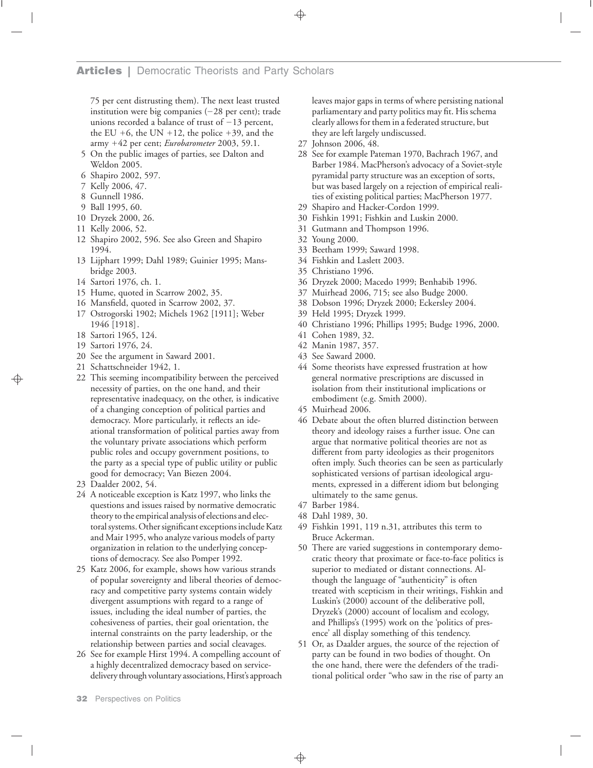75 per cent distrusting them). The next least trusted institution were big companies  $(-28$  per cent); trade unions recorded a balance of trust of  $-13$  percent, the EU  $+6$ , the UN  $+12$ , the police  $+39$ , and the army -42 per cent; *Eurobarometer* 2003, 59.1.

- 5 On the public images of parties, see Dalton and Weldon 2005.
- 6 Shapiro 2002, 597.
- 7 Kelly 2006, 47.
- 8 Gunnell 1986.
- 9 Ball 1995, 60.
- 10 Dryzek 2000, 26.
- 11 Kelly 2006, 52.
- 12 Shapiro 2002, 596. See also Green and Shapiro 1994.
- 13 Lijphart 1999; Dahl 1989; Guinier 1995; Mansbridge 2003.
- 14 Sartori 1976, ch. 1.
- 15 Hume, quoted in Scarrow 2002, 35.
- 16 Mansfield, quoted in Scarrow 2002, 37.
- 17 Ostrogorski 1902; Michels 1962 [1911]; Weber 1946 [1918].
- 18 Sartori 1965, 124.
- 19 Sartori 1976, 24.
- 20 See the argument in Saward 2001.
- 21 Schattschneider 1942, 1.
- 22 This seeming incompatibility between the perceived necessity of parties, on the one hand, and their representative inadequacy, on the other, is indicative of a changing conception of political parties and democracy. More particularly, it reflects an ideational transformation of political parties away from the voluntary private associations which perform public roles and occupy government positions, to the party as a special type of public utility or public good for democracy; Van Biezen 2004.
- 23 Daalder 2002, 54.
- 24 A noticeable exception is Katz 1997, who links the questions and issues raised by normative democratic theory to the empirical analysis of elections and electoral systems. Other significant exceptions include Katz and Mair 1995, who analyze various models of party organization in relation to the underlying conceptions of democracy. See also Pomper 1992.
- 25 Katz 2006, for example, shows how various strands of popular sovereignty and liberal theories of democracy and competitive party systems contain widely divergent assumptions with regard to a range of issues, including the ideal number of parties, the cohesiveness of parties, their goal orientation, the internal constraints on the party leadership, or the relationship between parties and social cleavages.
- 26 See for example Hirst 1994. A compelling account of a highly decentralized democracy based on servicedelivery through voluntary associations, Hirst's approach

leaves major gaps in terms of where persisting national parliamentary and party politics may fit. His schema clearly allows for them in a federated structure, but they are left largely undiscussed.

- 27 Johnson 2006, 48.
- 28 See for example Pateman 1970, Bachrach 1967, and Barber 1984. MacPherson's advocacy of a Soviet-style pyramidal party structure was an exception of sorts, but was based largely on a rejection of empirical realities of existing political parties; MacPherson 1977.
- 29 Shapiro and Hacker-Cordon 1999.
- 30 Fishkin 1991; Fishkin and Luskin 2000.
- 31 Gutmann and Thompson 1996.
- 32 Young 2000.
- 33 Beetham 1999; Saward 1998.
- 34 Fishkin and Laslett 2003.
- 35 Christiano 1996.
- 36 Dryzek 2000; Macedo 1999; Benhabib 1996.
- 37 Muirhead 2006, 715; see also Budge 2000.
- 38 Dobson 1996; Dryzek 2000; Eckersley 2004.
- 39 Held 1995; Dryzek 1999.
- 40 Christiano 1996; Phillips 1995; Budge 1996, 2000.
- 41 Cohen 1989, 32.
- 42 Manin 1987, 357.
- 43 See Saward 2000.
- 44 Some theorists have expressed frustration at how general normative prescriptions are discussed in isolation from their institutional implications or embodiment (e.g. Smith 2000).
- 45 Muirhead 2006.
- 46 Debate about the often blurred distinction between theory and ideology raises a further issue. One can argue that normative political theories are not as different from party ideologies as their progenitors often imply. Such theories can be seen as particularly sophisticated versions of partisan ideological arguments, expressed in a different idiom but belonging ultimately to the same genus.
- 47 Barber 1984.
- 48 Dahl 1989, 30.
- 49 Fishkin 1991, 119 n.31, attributes this term to Bruce Ackerman.
- 50 There are varied suggestions in contemporary democratic theory that proximate or face-to-face politics is superior to mediated or distant connections. Although the language of "authenticity" is often treated with scepticism in their writings, Fishkin and Luskin's (2000) account of the deliberative poll, Dryzek's (2000) account of localism and ecology, and Phillips's (1995) work on the 'politics of presence' all display something of this tendency.
- 51 Or, as Daalder argues, the source of the rejection of party can be found in two bodies of thought. On the one hand, there were the defenders of the traditional political order "who saw in the rise of party an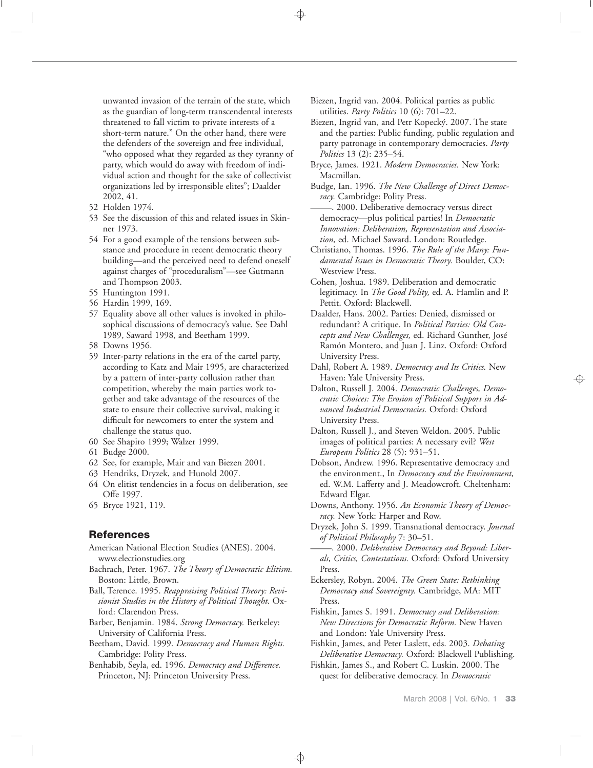unwanted invasion of the terrain of the state, which as the guardian of long-term transcendental interests threatened to fall victim to private interests of a short-term nature." On the other hand, there were the defenders of the sovereign and free individual, "who opposed what they regarded as they tyranny of party, which would do away with freedom of individual action and thought for the sake of collectivist organizations led by irresponsible elites"; Daalder 2002, 41.

- 52 Holden 1974.
- 53 See the discussion of this and related issues in Skinner 1973.
- 54 For a good example of the tensions between substance and procedure in recent democratic theory building—and the perceived need to defend oneself against charges of "proceduralism"—see Gutmann and Thompson 2003.
- 55 Huntington 1991.
- 56 Hardin 1999, 169.
- 57 Equality above all other values is invoked in philosophical discussions of democracy's value. See Dahl 1989, Saward 1998, and Beetham 1999.
- 58 Downs 1956.
- 59 Inter-party relations in the era of the cartel party, according to Katz and Mair 1995, are characterized by a pattern of inter-party collusion rather than competition, whereby the main parties work together and take advantage of the resources of the state to ensure their collective survival, making it difficult for newcomers to enter the system and challenge the status quo.
- 60 See Shapiro 1999; Walzer 1999.
- 61 Budge 2000.
- 62 See, for example, Mair and van Biezen 2001.
- 63 Hendriks, Dryzek, and Hunold 2007.
- 64 On elitist tendencies in a focus on deliberation, see Offe 1997.
- 65 Bryce 1921, 119.

#### **References**

- American National Election Studies (ANES). 2004. www.electionstudies.org
- Bachrach, Peter. 1967. *The Theory of Democratic Elitism.* Boston: Little, Brown.
- Ball, Terence. 1995. *Reappraising Political Theory: Revisionist Studies in the History of Political Thought.* Oxford: Clarendon Press.
- Barber, Benjamin. 1984. *Strong Democracy.* Berkeley: University of California Press.
- Beetham, David. 1999. *Democracy and Human Rights.* Cambridge: Polity Press.
- Benhabib, Seyla, ed. 1996. *Democracy and Difference.* Princeton, NJ: Princeton University Press.
- Biezen, Ingrid van. 2004. Political parties as public utilities. *Party Politics* 10 (6): 701–22.
- Biezen, Ingrid van, and Petr Kopecký. 2007. The state and the parties: Public funding, public regulation and party patronage in contemporary democracies. *Party Politics* 13 (2): 235–54.
- Bryce, James. 1921. *Modern Democracies.* New York: Macmillan.
- Budge, Ian. 1996. *The New Challenge of Direct Democ-*<br> *racy*. Cambridge: Polity Press.<br>
<u>and 2000.</u> Deliberative democracy versus direct<br>
democracy plus political parties! In *Democratic*
- democracy—plus political parties! In *Democratic Innovation: Deliberation, Representation and Association,* ed. Michael Saward. London: Routledge.
- Christiano, Thomas. 1996. *The Rule of the Many: Fundamental Issues in Democratic Theory.* Boulder, CO: Westview Press.
- Cohen, Joshua. 1989. Deliberation and democratic legitimacy. In *The Good Polity,* ed. A. Hamlin and P. Pettit. Oxford: Blackwell.
- Daalder, Hans. 2002. Parties: Denied, dismissed or redundant? A critique. In *Political Parties: Old Concepts and New Challenges,* ed. Richard Gunther, José Ramón Montero, and Juan J. Linz. Oxford: Oxford University Press.
- Dahl, Robert A. 1989. *Democracy and Its Critics.* New Haven: Yale University Press.
- Dalton, Russell J. 2004. *Democratic Challenges, Democratic Choices: The Erosion of Political Support in Advanced Industrial Democracies.* Oxford: Oxford University Press.
- Dalton, Russell J., and Steven Weldon. 2005. Public images of political parties: A necessary evil? *West European Politics* 28 (5): 931–51.
- Dobson, Andrew. 1996. Representative democracy and the environment., In *Democracy and the Environment,* ed. W.M. Lafferty and J. Meadowcroft. Cheltenham: Edward Elgar.
- Downs, Anthony. 1956. *An Economic Theory of Democracy.* New York: Harper and Row.
- Dryzek, John S. 1999. Transnational democracy. *Journal of Political Philosophy* 7: 30–51. \_. 2000. *Deliberative Democracy and Beyond: Liber-*
- *als, Critics, Contestations.* Oxford: Oxford University Press.
- Eckersley, Robyn. 2004. *The Green State: Rethinking Democracy and Sovereignty.* Cambridge, MA: MIT Press.
- Fishkin, James S. 1991. *Democracy and Deliberation: New Directions for Democratic Reform.* New Haven and London: Yale University Press.
- Fishkin, James, and Peter Laslett, eds. 2003. *Debating Deliberative Democracy.* Oxford: Blackwell Publishing.
- Fishkin, James S., and Robert C. Luskin. 2000. The quest for deliberative democracy. In *Democratic*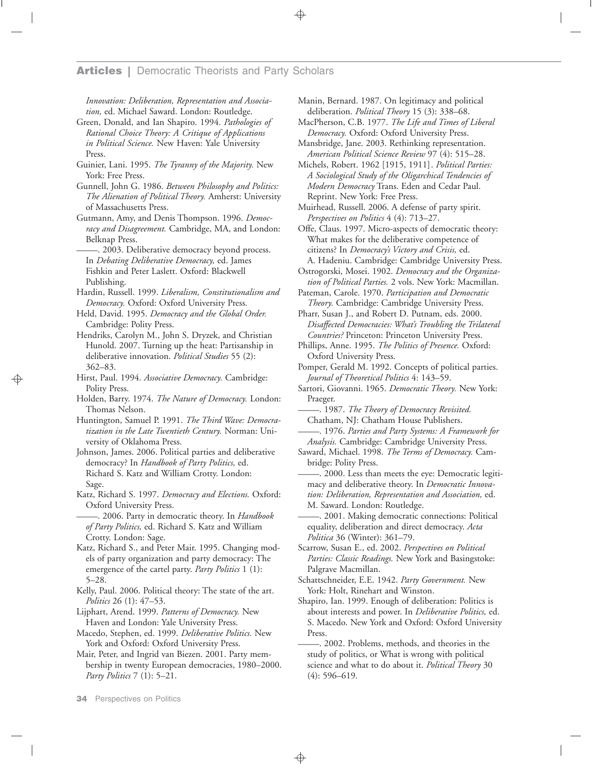*Innovation: Deliberation, Representation and Association,* ed. Michael Saward. London: Routledge.

- Green, Donald, and Ian Shapiro. 1994. *Pathologies of Rational Choice Theory: A Critique of Applications in Political Science.* New Haven: Yale University Press.
- Guinier, Lani. 1995. *The Tyranny of the Majority.* New York: Free Press.
- Gunnell, John G. 1986. *Between Philosophy and Politics: The Alienation of Political Theory.* Amherst: University of Massachusetts Press.
- Gutmann, Amy, and Denis Thompson. 1996. *Democracy and Disagreement.* Cambridge, MA, and London:<br>Belknap Press.<br>2003. Deliberative democracy beyond process.<br>In Dehating Deliberative Democracy ed James
- In *Debating Deliberative Democracy,* ed. James Fishkin and Peter Laslett. Oxford: Blackwell Publishing.
- Hardin, Russell. 1999. *Liberalism, Constitutionalism and Democracy.* Oxford: Oxford University Press.
- Held, David. 1995. *Democracy and the Global Order.* Cambridge: Polity Press.
- Hendriks, Carolyn M., John S. Dryzek, and Christian Hunold. 2007. Turning up the heat: Partisanship in deliberative innovation. *Political Studies* 55 (2): 362–83.
- Hirst, Paul. 1994. *Associative Democracy.* Cambridge: Polity Press.
- Holden, Barry. 1974. *The Nature of Democracy.* London: Thomas Nelson.
- Huntington, Samuel P. 1991. *The Third Wave: Democratization in the Late Twentieth Century.* Norman: University of Oklahoma Press.
- Johnson, James. 2006. Political parties and deliberative democracy? In *Handbook of Party Politics,* ed. Richard S. Katz and William Crotty. London: Sage.
- Katz, Richard S. 1997. *Democracy and Elections.* Oxford: Oxford University Press. \_. 2006. Party in democratic theory. In *Handbook*
- *of Party Politics,* ed. Richard S. Katz and William Crotty. London: Sage.
- Katz, Richard S., and Peter Mair. 1995. Changing models of party organization and party democracy: The emergence of the cartel party. *Party Politics* 1 (1): 5–28.
- Kelly, Paul. 2006. Political theory: The state of the art. *Politics* 26 (1): 47–53.
- Lijphart, Arend. 1999. *Patterns of Democracy.* New Haven and London: Yale University Press.
- Macedo, Stephen, ed. 1999. *Deliberative Politics.* New York and Oxford: Oxford University Press.
- Mair, Peter, and Ingrid van Biezen. 2001. Party membership in twenty European democracies, 1980–2000. *Party Politics* 7 (1): 5–21.
- Manin, Bernard. 1987. On legitimacy and political deliberation. *Political Theory* 15 (3): 338–68.
- MacPherson, C.B. 1977. *The Life and Times of Liberal Democracy.* Oxford: Oxford University Press.
- Mansbridge, Jane. 2003. Rethinking representation. *American Political Science Review* 97 (4): 515–28.
- Michels, Robert. 1962 [1915, 1911]. *Political Parties: A Sociological Study of the Oligarchical Tendencies of Modern Democracy* Trans. Eden and Cedar Paul. Reprint. New York: Free Press.
- Muirhead, Russell. 2006. A defense of party spirit. *Perspectives on Politics* 4 (4): 713–27.
- Offe, Claus. 1997. Micro-aspects of democratic theory: What makes for the deliberative competence of citizens? In *Democracy's Victory and Crisis,* ed. A. Hadeniu. Cambridge: Cambridge University Press.
- Ostrogorski, Mosei. 1902. *Democracy and the Organization of Political Parties.* 2 vols. New York: Macmillan.
- Pateman, Carole. 1970. *Participation and Democratic Theory.* Cambridge: Cambridge University Press.
- Pharr, Susan J., and Robert D. Putnam, eds. 2000. *Disaffected Democracies: What's Troubling the Trilateral Countries?* Princeton: Princeton University Press.
- Phillips, Anne. 1995. *The Politics of Presence.* Oxford: Oxford University Press.
- Pomper, Gerald M. 1992. Concepts of political parties. *Journal of Theoretical Politics* 4: 143–59.
- Sartori, Giovanni. 1965. *Democratic Theory.* New York: Praeger. \_. 1987. *The Theory of Democracy Revisited.*
- Praeger.<br>— 1987. *The Theory of Democracy Revisited.*<br>Chatham, NJ: Chatham House Publishers.<br>— 1976. *Parties and Party Systems: A Framework for*
- *Analysis.* Cambridge: Cambridge University Press.
- Saward, Michael. 1998. *The Terms of Democracy*. Cam-<br>bridge: Polity Press.<br>2000. Less than meets the eye: Democratic legiti-<br>macy and deliberative theory. In Democratic Impor-
- macy and deliberative theory. In *Democratic Innovation: Deliberation, Representation and Association,* ed.
- M. Saward. London: Routledge.<br>- 2001. Making democratic connections: Political equality, deliberation and direct democracy. *Acta Politica* 36 (Winter): 361–79.
- Scarrow, Susan E., ed. 2002. *Perspectives on Political Parties: Classic Readings.* New York and Basingstoke: Palgrave Macmillan.
- Schattschneider, E.E. 1942. *Party Government.* New York: Holt, Rinehart and Winston.
- Shapiro, Ian. 1999. Enough of deliberation: Politics is about interests and power. In *Deliberative Politics,* ed. S. Macedo. New York and Oxford: Oxford University<br>Press.<br>2002. Problems, methods, and theories in the<br>study of politics or What is wrong with political
- study of politics, or What is wrong with political science and what to do about it. *Political Theory* 30 (4): 596–619.